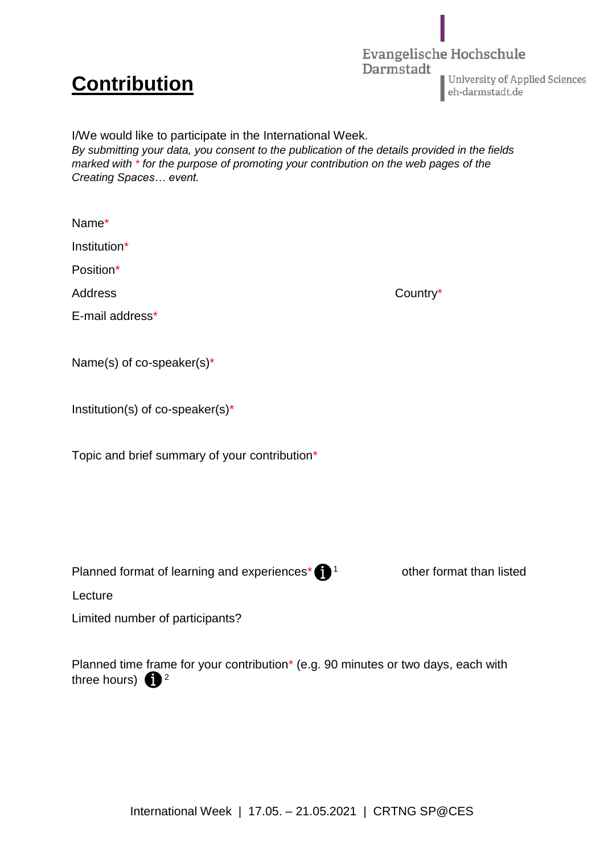## **Contribution**

three hours)  $\bigoplus$ <sup>2</sup>

Evangelische Hochschule Darmstadt University of Applied Sciences eh-darmstadt.de

I/We would like to participate in the International Week. *By submitting your data, you consent to the publication of the details provided in the fields marked with \* for the purpose of promoting your contribution on the web pages of the Creating Spaces… event.*

| Name*                                                                             |                          |
|-----------------------------------------------------------------------------------|--------------------------|
| Institution*                                                                      |                          |
| Position*                                                                         |                          |
| <b>Address</b>                                                                    | Country*                 |
| E-mail address*                                                                   |                          |
|                                                                                   |                          |
| Name(s) of co-speaker(s)*                                                         |                          |
|                                                                                   |                          |
| Institution(s) of co-speaker(s)*                                                  |                          |
| Topic and brief summary of your contribution*                                     |                          |
|                                                                                   |                          |
|                                                                                   |                          |
|                                                                                   |                          |
|                                                                                   |                          |
| Planned format of learning and experiences* $\bigoplus$ <sup>1</sup>              | other format than listed |
| Lecture                                                                           |                          |
| Limited number of participants?                                                   |                          |
|                                                                                   |                          |
| Planned time frame for your contribution* (e.g. 90 minutes or two days, each with |                          |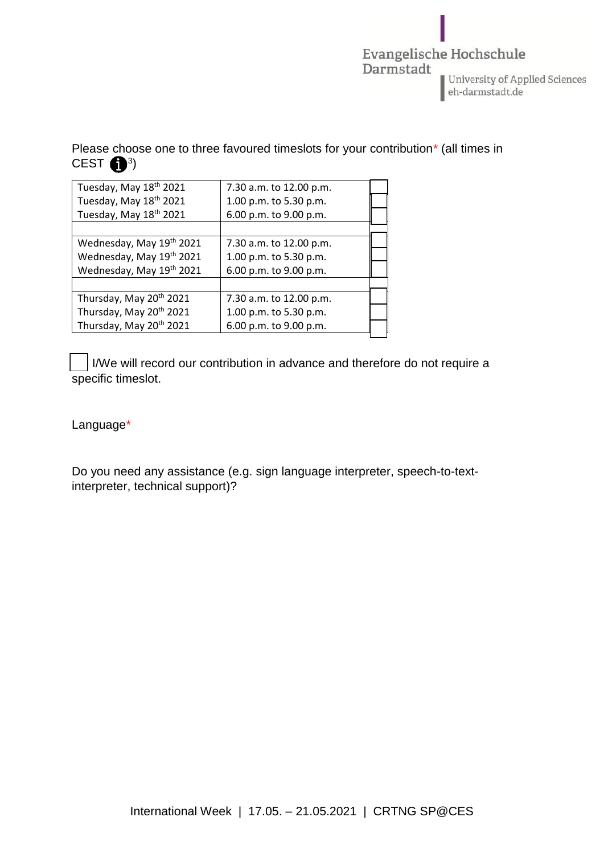

Please choose one to three favoured timeslots for your contribution\* (all times in CEST  $\bigoplus$ <sup>3</sup>)

| Tuesday, May 18th 2021              | 7.30 a.m. to 12.00 p.m. |  |
|-------------------------------------|-------------------------|--|
| Tuesday, May 18th 2021              | 1.00 p.m. to 5.30 p.m.  |  |
| Tuesday, May 18th 2021              | 6.00 p.m. to 9.00 p.m.  |  |
|                                     |                         |  |
| Wednesday, May 19th 2021            | 7.30 a.m. to 12.00 p.m. |  |
| Wednesday, May 19th 2021            | 1.00 p.m. to 5.30 p.m.  |  |
| Wednesday, May 19th 2021            | 6.00 p.m. to 9.00 p.m.  |  |
|                                     |                         |  |
| Thursday, May 20 <sup>th</sup> 2021 | 7.30 a.m. to 12.00 p.m. |  |
| Thursday, May 20 <sup>th</sup> 2021 | 1.00 p.m. to 5.30 p.m.  |  |
| Thursday, May 20th 2021             | 6.00 p.m. to 9.00 p.m.  |  |

I/We will record our contribution in advance and therefore do not require a specific timeslot.

Language\*

Do you need any assistance (e.g. sign language interpreter, speech-to-textinterpreter, technical support)?